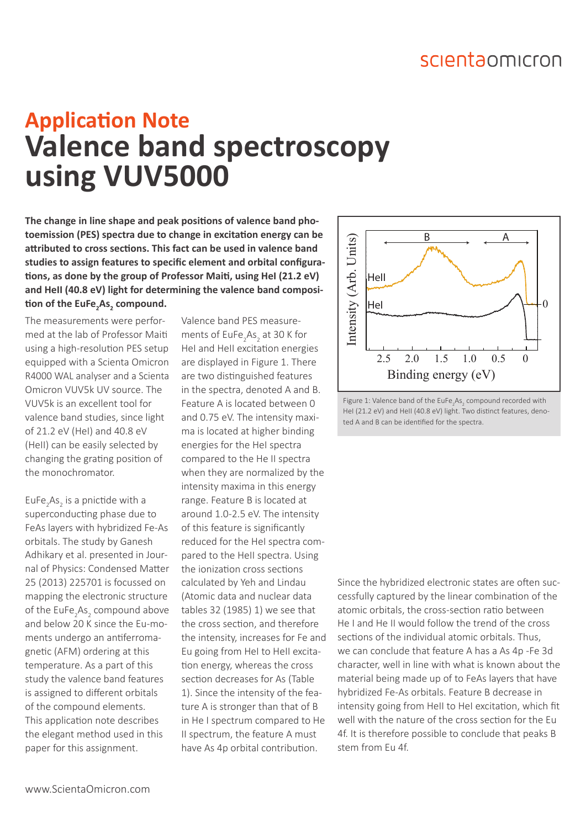## scientaomicron

## **Valence band spectroscopy using VUV5000 Application Note**

**The change in line shape and peak positions of valence band photoemission (PES) spectra due to change in excitation energy can be attributed to cross sections. This fact can be used in valence band studies to assign features to specific element and orbital configurations, as done by the group of Professor Maiti, using HeI (21.2 eV) and HeII (40.8 eV) light for determining the valence band composition of the EuFe2 As<sup>2</sup> compound.**

The measurements were performed at the lab of Professor Maiti using a high-resolution PES setup equipped with a Scienta Omicron R4000 WAL analyser and a Scienta Omicron VUV5k UV source. The VUV5k is an excellent tool for valence band studies, since light of 21.2 eV (HeI) and 40.8 eV (HeII) can be easily selected by changing the grating position of the monochromator.

EuFe<sub>2</sub>As<sub>2</sub> is a pnictide with a superconducting phase due to FeAs layers with hybridized Fe-As orbitals. The study by Ganesh Adhikary et al. presented in Journal of Physics: Condensed Matter 25 (2013) 225701 is focussed on mapping the electronic structure of the  $\mathsf{EuFe}_{2}\mathsf{As}_{2}$  compound above and below 20 K since the Eu-moments undergo an antiferromagnetic (AFM) ordering at this temperature. As a part of this study the valence band features is assigned to different orbitals of the compound elements. This application note describes the elegant method used in this paper for this assignment.

Valence band PES measurements of  $EuFe<sub>2</sub>As<sub>2</sub>$  at 30 K for HeI and HeII excitation energies are displayed in Figure 1. There are two distinguished features in the spectra, denoted A and B. Feature A is located between 0 and 0.75 eV. The intensity maxima is located at higher binding energies for the HeI spectra compared to the He II spectra when they are normalized by the intensity maxima in this energy range. Feature B is located at around 1.0-2.5 eV. The intensity of this feature is significantly reduced for the HeI spectra compared to the HeII spectra. Using the ionization cross sections calculated by Yeh and Lindau (Atomic data and nuclear data tables 32 (1985) 1) we see that the cross section, and therefore the intensity, increases for Fe and Eu going from HeI to HeII excitation energy, whereas the cross section decreases for As (Table 1). Since the intensity of the feature A is stronger than that of B in He I spectrum compared to He II spectrum, the feature A must have As 4p orbital contribution.



Figure 1: Valence band of the EuFe<sub>2</sub>As<sub>2</sub> compound recorded with HeI (21.2 eV) and HeII (40.8 eV) light. Two distinct features, denoted A and B can be identified for the spectra.

Since the hybridized electronic states are often successfully captured by the linear combination of the atomic orbitals, the cross-section ratio between He I and He II would follow the trend of the cross sections of the individual atomic orbitals. Thus, we can conclude that feature A has a As 4p -Fe 3d character, well in line with what is known about the material being made up of to FeAs layers that have hybridized Fe-As orbitals. Feature B decrease in intensity going from HeII to HeI excitation, which fit well with the nature of the cross section for the Eu 4f. It is therefore possible to conclude that peaks B stem from Eu 4f.